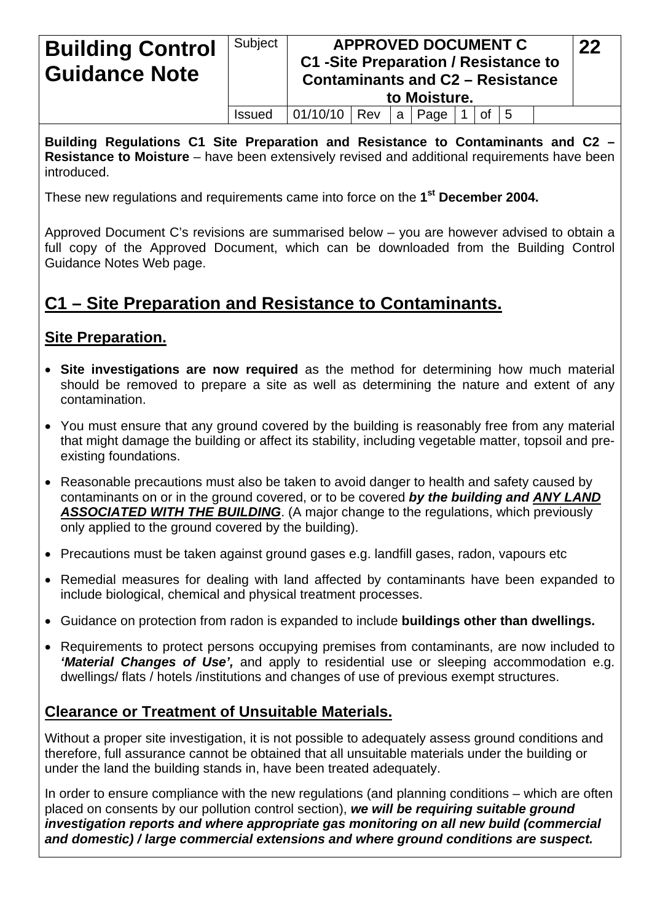| <b>Building Control</b><br><b>Guidance Note</b> | Subject       | <b>C1 -Site Preparation / Resistance to</b><br><b>Contaminants and C2 - Resistance</b> |  | <b>APPROVED DOCUMENT C</b><br>to Moisture. |              |  | 22 |  |
|-------------------------------------------------|---------------|----------------------------------------------------------------------------------------|--|--------------------------------------------|--------------|--|----|--|
|                                                 | <b>Issued</b> | 01/10/10   Rev                                                                         |  | a   Page                                   | of $\vert 5$ |  |    |  |

**Building Regulations C1 Site Preparation and Resistance to Contaminants and C2 – Resistance to Moisture** – have been extensively revised and additional requirements have been introduced.

These new regulations and requirements came into force on the **1st December 2004.**

Approved Document C's revisions are summarised below – you are however advised to obtain a full copy of the Approved Document, which can be downloaded from the Building Control Guidance Notes Web page.

# **C1 – Site Preparation and Resistance to Contaminants.**

## **Site Preparation.**

- **Site investigations are now required** as the method for determining how much material should be removed to prepare a site as well as determining the nature and extent of any contamination.
- You must ensure that any ground covered by the building is reasonably free from any material that might damage the building or affect its stability, including vegetable matter, topsoil and preexisting foundations.
- Reasonable precautions must also be taken to avoid danger to health and safety caused by contaminants on or in the ground covered, or to be covered *by the building and ANY LAND ASSOCIATED WITH THE BUILDING*. (A major change to the regulations, which previously only applied to the ground covered by the building).
- Precautions must be taken against ground gases e.g. landfill gases, radon, vapours etc
- Remedial measures for dealing with land affected by contaminants have been expanded to include biological, chemical and physical treatment processes.
- Guidance on protection from radon is expanded to include **buildings other than dwellings.**
- Requirements to protect persons occupying premises from contaminants, are now included to *'Material Changes of Use',* and apply to residential use or sleeping accommodation e.g. dwellings/ flats / hotels /institutions and changes of use of previous exempt structures.

## **Clearance or Treatment of Unsuitable Materials.**

Without a proper site investigation, it is not possible to adequately assess ground conditions and therefore, full assurance cannot be obtained that all unsuitable materials under the building or under the land the building stands in, have been treated adequately.

In order to ensure compliance with the new regulations (and planning conditions – which are often placed on consents by our pollution control section), *we will be requiring suitable ground investigation reports and where appropriate gas monitoring on all new build (commercial and domestic) / large commercial extensions and where ground conditions are suspect.*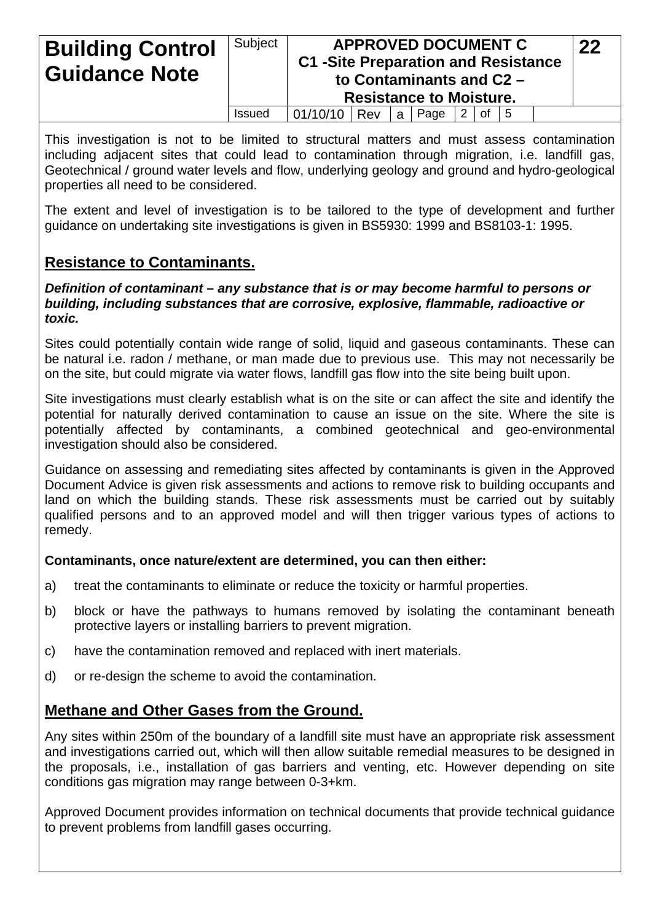| <b>Building Control</b><br><b>Guidance Note</b> | Subject       |          | <b>APPROVED DOCUMENT C</b><br><b>C1 -Site Preparation and Resistance</b><br>to Contaminants and C2 -<br><b>Resistance to Moisture.</b> |   |      |  |                |  |  |  |
|-------------------------------------------------|---------------|----------|----------------------------------------------------------------------------------------------------------------------------------------|---|------|--|----------------|--|--|--|
|                                                 | <b>Issued</b> | 01/10/10 | Rev                                                                                                                                    | a | Page |  | $ 2 $ of $ 5 $ |  |  |  |

This investigation is not to be limited to structural matters and must assess contamination including adjacent sites that could lead to contamination through migration, i.e. landfill gas, Geotechnical / ground water levels and flow, underlying geology and ground and hydro-geological properties all need to be considered.

The extent and level of investigation is to be tailored to the type of development and further guidance on undertaking site investigations is given in BS5930: 1999 and BS8103-1: 1995.

## **Resistance to Contaminants.**

*Definition of contaminant – any substance that is or may become harmful to persons or building, including substances that are corrosive, explosive, flammable, radioactive or toxic.*

Sites could potentially contain wide range of solid, liquid and gaseous contaminants. These can be natural i.e. radon / methane, or man made due to previous use. This may not necessarily be on the site, but could migrate via water flows, landfill gas flow into the site being built upon.

Site investigations must clearly establish what is on the site or can affect the site and identify the potential for naturally derived contamination to cause an issue on the site. Where the site is potentially affected by contaminants, a combined geotechnical and geo-environmental investigation should also be considered.

Guidance on assessing and remediating sites affected by contaminants is given in the Approved Document Advice is given risk assessments and actions to remove risk to building occupants and land on which the building stands. These risk assessments must be carried out by suitably qualified persons and to an approved model and will then trigger various types of actions to remedy.

#### **Contaminants, once nature/extent are determined, you can then either:**

- a) treat the contaminants to eliminate or reduce the toxicity or harmful properties.
- b) block or have the pathways to humans removed by isolating the contaminant beneath protective layers or installing barriers to prevent migration.
- c) have the contamination removed and replaced with inert materials.
- d) or re-design the scheme to avoid the contamination.

## **Methane and Other Gases from the Ground.**

Any sites within 250m of the boundary of a landfill site must have an appropriate risk assessment and investigations carried out, which will then allow suitable remedial measures to be designed in the proposals, i.e., installation of gas barriers and venting, etc. However depending on site conditions gas migration may range between 0-3+km.

Approved Document provides information on technical documents that provide technical guidance to prevent problems from landfill gases occurring.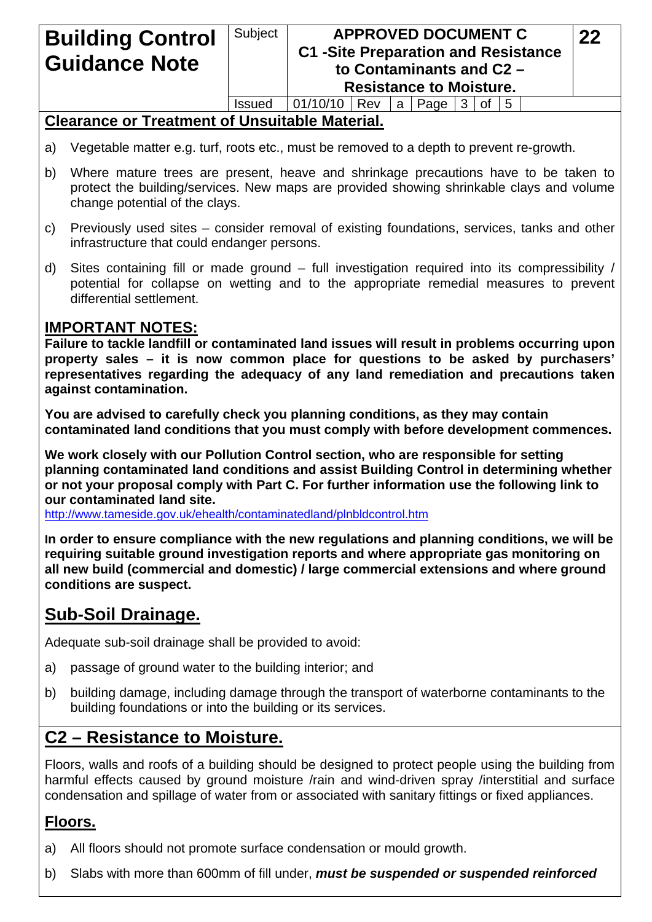| <b>Building Control</b><br><b>Guidance Note</b> | Subject       |          | <b>APPROVED DOCUMENT C</b><br><b>C1 -Site Preparation and Resistance</b><br>to Contaminants and C2 -<br><b>Resistance to Moisture.</b> |     |            |  |    |              |  |  |  |
|-------------------------------------------------|---------------|----------|----------------------------------------------------------------------------------------------------------------------------------------|-----|------------|--|----|--------------|--|--|--|
|                                                 | <b>Issued</b> | 01/10/10 | Rev                                                                                                                                    | a : | Page $ 3 $ |  | 0f | <sup>5</sup> |  |  |  |

## **Clearance or Treatment of Unsuitable Material.**

- a) Vegetable matter e.g. turf, roots etc., must be removed to a depth to prevent re-growth.
- b) Where mature trees are present, heave and shrinkage precautions have to be taken to protect the building/services. New maps are provided showing shrinkable clays and volume change potential of the clays.
- c) Previously used sites consider removal of existing foundations, services, tanks and other infrastructure that could endanger persons.
- d) Sites containing fill or made ground full investigation required into its compressibility / potential for collapse on wetting and to the appropriate remedial measures to prevent differential settlement.

#### **IMPORTANT NOTES:**

**Failure to tackle landfill or contaminated land issues will result in problems occurring upon property sales – it is now common place for questions to be asked by purchasers' representatives regarding the adequacy of any land remediation and precautions taken against contamination.** 

**You are advised to carefully check you planning conditions, as they may contain contaminated land conditions that you must comply with before development commences.** 

**We work closely with our Pollution Control section, who are responsible for setting planning contaminated land conditions and assist Building Control in determining whether or not your proposal comply with Part C. For further information use the following link to our contaminated land site.** 

<http://www.tameside.gov.uk/ehealth/contaminatedland/plnbldcontrol.htm>

**In order to ensure compliance with the new regulations and planning conditions, we will be requiring suitable ground investigation reports and where appropriate gas monitoring on all new build (commercial and domestic) / large commercial extensions and where ground conditions are suspect.** 

## **Sub-Soil Drainage.**

Adequate sub-soil drainage shall be provided to avoid:

- a) passage of ground water to the building interior; and
- b) building damage, including damage through the transport of waterborne contaminants to the building foundations or into the building or its services.

## **C2 – Resistance to Moisture.**

Floors, walls and roofs of a building should be designed to protect people using the building from harmful effects caused by ground moisture /rain and wind-driven spray /interstitial and surface condensation and spillage of water from or associated with sanitary fittings or fixed appliances.

#### **Floors.**

- a) All floors should not promote surface condensation or mould growth.
- b) Slabs with more than 600mm of fill under, *must be suspended or suspended reinforced*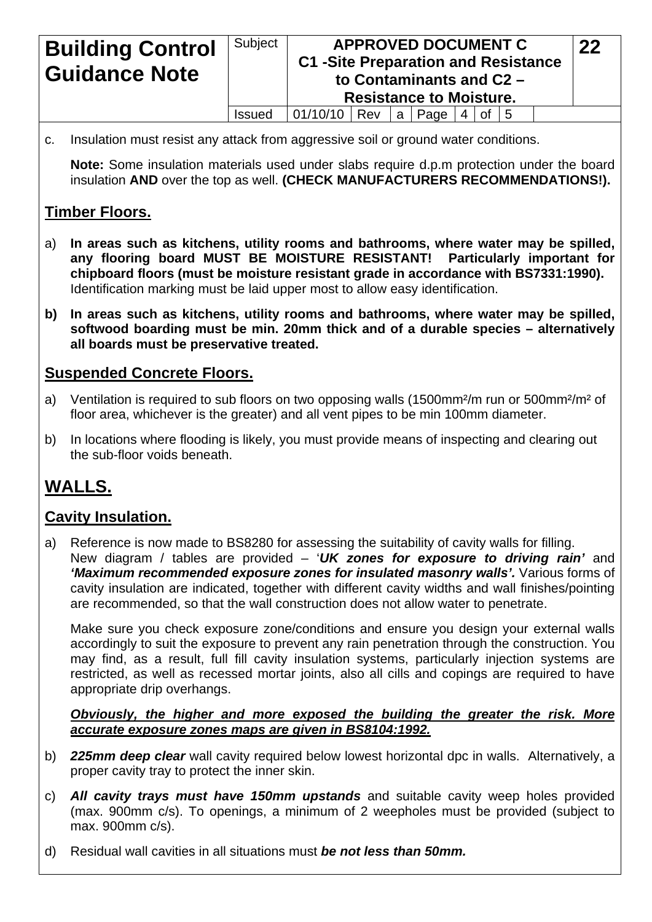| <b>Building Control</b><br><b>Guidance Note</b> | Subject       |                      | <b>APPROVED DOCUMENT C</b><br><b>C1 -Site Preparation and Resistance</b><br>to Contaminants and C2 -<br><b>Resistance to Moisture.</b> |  |                     |  |  |  |  |  |  |
|-------------------------------------------------|---------------|----------------------|----------------------------------------------------------------------------------------------------------------------------------------|--|---------------------|--|--|--|--|--|--|
|                                                 | <b>Issued</b> | $ 01/10/10 $ Rev   a |                                                                                                                                        |  | Page $ 4 $ of $ 5 $ |  |  |  |  |  |  |

c. Insulation must resist any attack from aggressive soil or ground water conditions.

**Note:** Some insulation materials used under slabs require d.p.m protection under the board insulation **AND** over the top as well. **(CHECK MANUFACTURERS RECOMMENDATIONS!).**

## **Timber Floors.**

- a) **In areas such as kitchens, utility rooms and bathrooms, where water may be spilled, any flooring board MUST BE MOISTURE RESISTANT! Particularly important for chipboard floors (must be moisture resistant grade in accordance with BS7331:1990).**  Identification marking must be laid upper most to allow easy identification.
- **b) In areas such as kitchens, utility rooms and bathrooms, where water may be spilled, softwood boarding must be min. 20mm thick and of a durable species – alternatively all boards must be preservative treated.**

#### **Suspended Concrete Floors.**

- a) Ventilation is required to sub floors on two opposing walls (1500mm<sup>2</sup>/m run or 500mm<sup>2</sup>/m<sup>2</sup> of floor area, whichever is the greater) and all vent pipes to be min 100mm diameter.
- b) In locations where flooding is likely, you must provide means of inspecting and clearing out the sub-floor voids beneath.

# **WALLS.**

## **Cavity Insulation.**

a) Reference is now made to BS8280 for assessing the suitability of cavity walls for filling. New diagram / tables are provided – '*UK zones for exposure to driving rain'* and *'Maximum recommended exposure zones for insulated masonry walls'. Various forms of* cavity insulation are indicated, together with different cavity widths and wall finishes/pointing are recommended, so that the wall construction does not allow water to penetrate.

Make sure you check exposure zone/conditions and ensure you design your external walls accordingly to suit the exposure to prevent any rain penetration through the construction. You may find, as a result, full fill cavity insulation systems, particularly injection systems are restricted, as well as recessed mortar joints, also all cills and copings are required to have appropriate drip overhangs.

*Obviously, the higher and more exposed the building the greater the risk. More accurate exposure zones maps are given in BS8104:1992.*

- b) *225mm deep clear* wall cavity required below lowest horizontal dpc in walls. Alternatively, a proper cavity tray to protect the inner skin.
- c) *All cavity trays must have 150mm upstands* and suitable cavity weep holes provided (max. 900mm c/s). To openings, a minimum of 2 weepholes must be provided (subject to max. 900mm c/s).
- d) Residual wall cavities in all situations must *be not less than 50mm.*